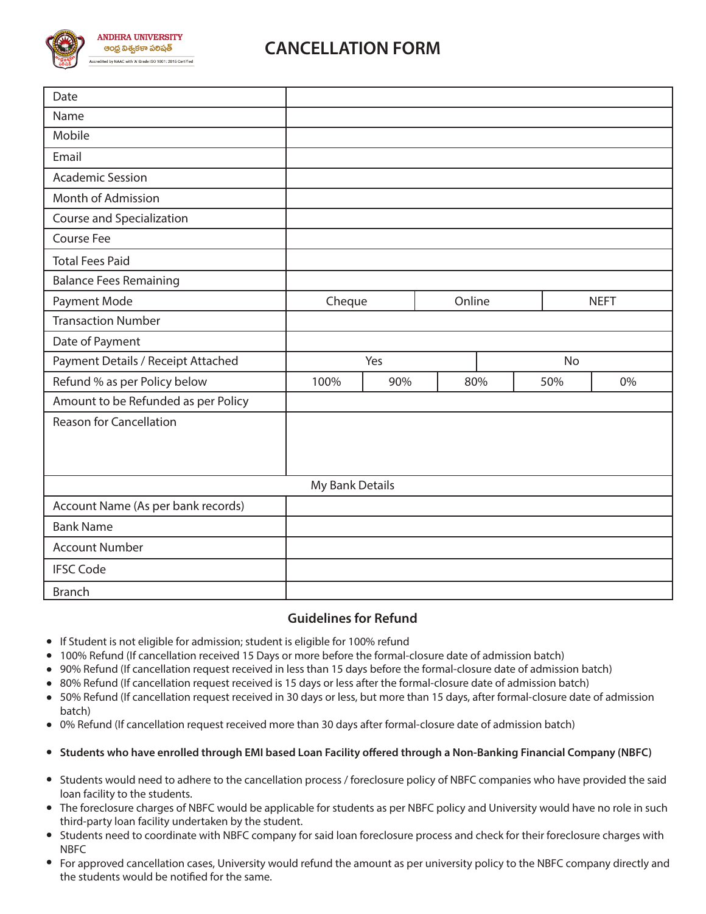

## **CANCELLATION FORM**

| Date                                |                 |     |           |        |     |             |  |
|-------------------------------------|-----------------|-----|-----------|--------|-----|-------------|--|
| Name                                |                 |     |           |        |     |             |  |
| Mobile                              |                 |     |           |        |     |             |  |
| Email                               |                 |     |           |        |     |             |  |
| <b>Academic Session</b>             |                 |     |           |        |     |             |  |
| Month of Admission                  |                 |     |           |        |     |             |  |
| Course and Specialization           |                 |     |           |        |     |             |  |
| Course Fee                          |                 |     |           |        |     |             |  |
| <b>Total Fees Paid</b>              |                 |     |           |        |     |             |  |
| <b>Balance Fees Remaining</b>       |                 |     |           |        |     |             |  |
| Payment Mode                        | Cheque          |     |           | Online |     | <b>NEFT</b> |  |
| <b>Transaction Number</b>           |                 |     |           |        |     |             |  |
| Date of Payment                     |                 |     |           |        |     |             |  |
| Payment Details / Receipt Attached  |                 |     | <b>No</b> |        |     |             |  |
| Refund % as per Policy below        | 100%            | 90% | 80%       |        | 50% | 0%          |  |
| Amount to be Refunded as per Policy |                 |     |           |        |     |             |  |
| <b>Reason for Cancellation</b>      |                 |     |           |        |     |             |  |
|                                     |                 |     |           |        |     |             |  |
|                                     |                 |     |           |        |     |             |  |
|                                     | My Bank Details |     |           |        |     |             |  |
|                                     |                 |     |           |        |     |             |  |
| Account Name (As per bank records)  |                 |     |           |        |     |             |  |
| <b>Bank Name</b>                    |                 |     |           |        |     |             |  |
| <b>Account Number</b>               |                 |     |           |        |     |             |  |
| <b>IFSC Code</b>                    |                 |     |           |        |     |             |  |

## **Guidelines for Refund**

- **•** If Student is not eligible for admission; student is eligible for 100% refund
- 100% Refund (If cancellation received 15 Days or more before the formal-closure date of admission batch)
- 90% Refund (If cancellation request received in less than 15 days before the formal-closure date of admission batch)
- 80% Refund (If cancellation request received is 15 days or less after the formal-closure date of admission batch)
- 50% Refund (If cancellation request received in 30 days or less, but more than 15 days, after formal-closure date of admission batch)
- 0% Refund (If cancellation request received more than 30 days after formal-closure date of admission batch)
- **Students who have enrolled through EMI based Loan Facility offered through a Non-Banking Financial Company (NBFC)**
- Students would need to adhere to the cancellation process / foreclosure policy of NBFC companies who have provided the said loan facility to the students.
- The foreclosure charges of NBFC would be applicable for students as per NBFC policy and University would have no role in such third-party loan facility undertaken by the student.
- Students need to coordinate with NBFC company for said loan foreclosure process and check for their foreclosure charges with NBFC
- For approved cancellation cases, University would refund the amount as per university policy to the NBFC company directly and the students would be notified for the same.